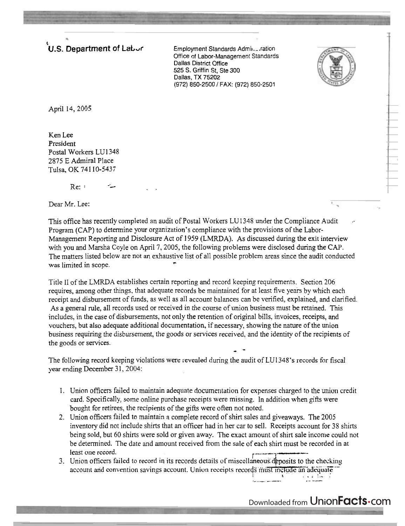**U.S. Department of LaL<sub>U</sub>r Employment Standards Admil....ration** 

Office of Labor-Management Standards Dallas District Office 525 S. Griffin St, Ste 300 Dallas, TX 75202 (972) 850-2500 / FAX: (972) 850-2501



April 14,2005

Ken Lee President Postal Workers LU1348 2875 **E** Admiral Place Tulsa, OK 74 1 10-5437

 $Re:$   $\blacksquare$ 

**iL** . ,

Dear Mr. Lee:

This office has recently completed an audit of Postal Workers LU1348 under the Compliance Audit Program (CAP) to determine your organization's compliance with the provisions of the Labor-Management Reporting and Disclosure Act of 1959 (LMRDA). As discussed during the exit interview with you and Marsha Coyle on April 7,2005, the following problems were disclosed during the **CAP.**  The matters listed below are not an exhaustive list of all possible problem areas since the audit conducted was limited in scope.

Title I1 of the LMRDA establishes certain reporting and record keeping requirements. Section 206 requires, among other things, that adequate records be maintained for at least five years by which each receipt and disbursement of funds. as well as all account balances can be verified, explained, and clarified. As a general rule, all records used or received in the course of union business must be retained. This includes, in the case of disbursements, not only the retention of original bills, invoices, receipts, and vouchers, but also adequate additional documentation, if necessary, showing the nature of the union business requiring the disbursement, the goods or services received, and the identity of the recipients of the goods or services. - -

The following record keeping violations were revealed during the audit of LU1348's records for fiscal year ending December 31, 2004:

- 1. Union officers failed to maintain adequate documentation for expenses charged to the union credit card. Specifically, some online purchase receipts were missing. In addition when gifts were bought for retirees, the recipients of the gifts were often not noted.
- 2. Union officers failed to maintain a complete record of shirt sales and giveaways. The 2005 inventory did not include shirts that an officer had in her car to sell. Receipts account for 35 shirts being sold, but 60 shirts were sold or given away. The exact amount of shirt sale income could not be determined. The date and amount received from the sale of each shirt must be recorded in at least one record.
- 3. Union officers failed to record in its records details of miscellaneous deposits to the checking **IS must include an adequate I...** The smust include an adequate the change of  $\frac{1}{2}$

Downloaded from UnionFacts.com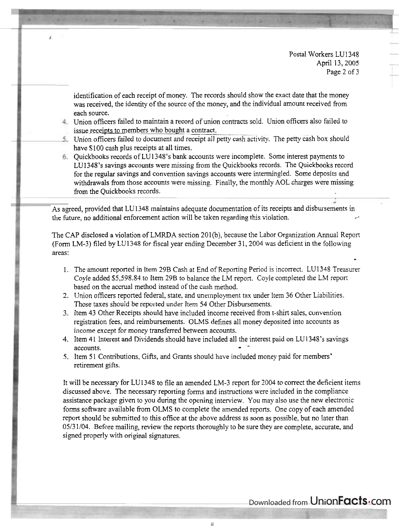Postal Workers LU1348 April 13,2005 Page 2 of 3

identification of each receipt of money. The records should show the exact date that the money was received, the identity of the source of the money, and the individual amount received from each source.

- Union officers failed to maintain a record of union contracts sold. Union officers also failed to each source.<br>Union officers failed to maintain a record of union contrassue receipts to members who bought a contract.<br>Union officers failed to document and receipt all petty c
- 5. Union officers failed to document and receipt all petty cash activity. The petty cash box should have \$100 cash plus receipts at all times.
- Quickbooks records of LU 1348's bank accounts were incomplete. Some interest payments to LU1348's savings accounts were missing from the Quickbooks records. The Quickbooks record for the regular savings and convention savings accounts were intermingled. Some deposits and withdrawals from those accounts were missing. Finally, the monthly AOL charges were missing from the Quickbooks records.

As agreed, provided that LU1348 maintains adequate documentation of its receipts and disbursements in the future, no additional enforcement action will be taken regarding this violation. .

The CAP disclosed a violation of LMRDA section 201(b), because the Labor Organization Annual Report (Form LM-3) filed by LU1348 for fiscal year ending December 3 1,2004 was deficient in the following areas: -

- 1. The amount reported in Item 29B Cash at End of Reporting Period is incorrect. LU 1348 Treasurer CoyIe added \$5,598.84 to Item 29B to balance the LM report. Coyle completed the LM repon based on the accrual method instead of the cash method.
- 2. Union officers reported federal, state, and unemployment tax under Item 36 Other Liabilities. Those taxes should be reported under Item 54 Other Disbursements.
- 3. Item 43 Other Receipts should have included income received from t-shirt. sales, convention registration fees, and reimbursements. OLMS defines all money deposited into accounts as income except for money transferred between accounts.
- 4. Item 41 Interest and Dividends should have included all the interest paid on LU1348's savings accounts.
- 5. Item 5 1 Contributions, Gifts, and Grants should have included money paid for members' retirement gifts.

It will be necessary for LU 1348 to file an amended LM-3 report for 2004 to correct the deficient items discussed above. The necessary reporting forms and instructions were included in the compliance assistance package given to you during the opening interview. You may also use the new electronic forms software available from OLMS to complete the amended reports. One copy of each amended report should be submitted to this office at the above address as soon as possible. but no later than 0513 1/04. Before mailing, review the reports thoroughly to be sure they are complete, accurate, and signed properly with original signatures.

Downloaded from UnionFacts.com